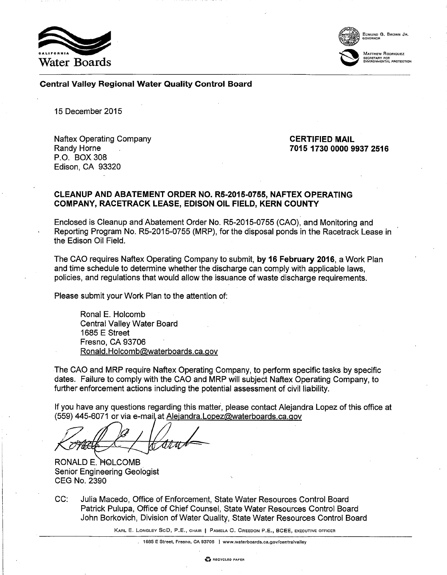



EDMUND G. BROWN JR. GOVERNOR

.<br>Matthew Rodriquez SECRETARY FOR ENVIRONMENTAL PROTECTION

Central Valley Regional Water Quality Control Board

15 December 2015

Naftex Operating Company Randy Horne P.O. BOX 308 Edison, CA 93320

CERTIFIED MAIL 7015 1730 0000 9937 2516

#### CLEANUP AND ABATEMENT ORDER NO. R5-2015-0755, NAFTEX OPERATING COMPANY, RACETRACK LEASE, EDISON OIL FIELD, KERN COUNTY

Enclosed is Cleanup and Abatement Order No. R5-2015-0755 (CAO), and Monitoring and Reporting Program No. R5-2015-0755 (MRP), for the disposal ponds in the Racetrack Lease in the Edison Oil Field.

The CAO requires Naftex Operating Company to submit, by 16 February 2016, a Work Plan and time schedule to determine whether the discharge can comply with applicable laws, policies, and regulations that would allow the issuance of waste discharge requirements.

Please submit your Work Plan to the attention of:

Ronal E. Holcomb Central Valley Water Board 1685 E Street Fresno, CA 93706 [Ronald. Holcomb@waterboards. ca.gov](mailto:Ronald.Holcomb@waterboards.ca.gov)

The CAO and MRP require Naftex Operating Company, to perform specific tasks by specific dates. Failure to comply with the CAO and MRP will subject Naftex Operating Company, to further enforcement actions including the potential assessment of civil liability.

If you have any questions regarding this matter, please contact Alejandra Lopez of this office at (559) 445-6071 or via e-mail at Alejandra.Lopez@waterboards.ca.gov

)<br>A a

RONALD E. HOLCOMB Senior Engineering Geologist CEG No. 2390

CC: Julia Macedo, Office of Enforcement, State Water Resources Control Board Patrick Pulupa, Office of Chief Counsel, State Water Resources Control Board John Borkovich, Division of Water Quality, State Water Resources Control Board

KARL E. LONGLEY SeD, P.E., CHAIR J PAMELA C. CREEDON P.E., BCEE, EXECUTIVE OFFICER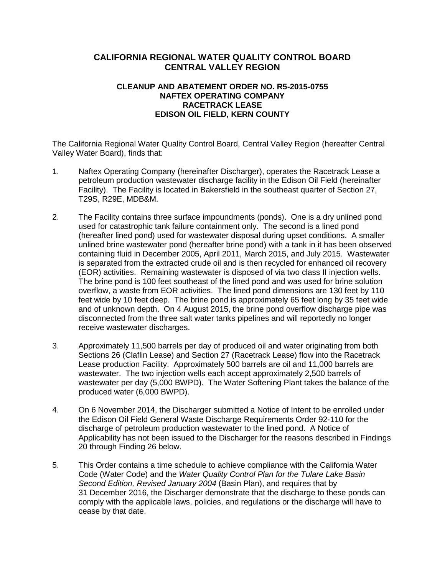# **CALIFORNIA REGIONAL WATER QUALITY CONTROL BOARD CENTRAL VALLEY REGION**

## **CLEANUP AND ABATEMENT ORDER NO. R5-2015-0755 NAFTEX OPERATING COMPANY RACETRACK LEASE EDISON OIL FIELD, KERN COUNTY**

The California Regional Water Quality Control Board, Central Valley Region (hereafter Central Valley Water Board), finds that:

- 1. Naftex Operating Company (hereinafter Discharger), operates the Racetrack Lease a petroleum production wastewater discharge facility in the Edison Oil Field (hereinafter Facility). The Facility is located in Bakersfield in the southeast quarter of Section 27, T29S, R29E, MDB&M.
- 2. The Facility contains three surface impoundments (ponds). One is a dry unlined pond used for catastrophic tank failure containment only. The second is a lined pond (hereafter lined pond) used for wastewater disposal during upset conditions. A smaller unlined brine wastewater pond (hereafter brine pond) with a tank in it has been observed containing fluid in December 2005, April 2011, March 2015, and July 2015. Wastewater is separated from the extracted crude oil and is then recycled for enhanced oil recovery (EOR) activities. Remaining wastewater is disposed of via two class II injection wells. The brine pond is 100 feet southeast of the lined pond and was used for brine solution overflow, a waste from EOR activities. The lined pond dimensions are 130 feet by 110 feet wide by 10 feet deep. The brine pond is approximately 65 feet long by 35 feet wide and of unknown depth. On 4 August 2015, the brine pond overflow discharge pipe was disconnected from the three salt water tanks pipelines and will reportedly no longer receive wastewater discharges.
- 3. Approximately 11,500 barrels per day of produced oil and water originating from both Sections 26 (Claflin Lease) and Section 27 (Racetrack Lease) flow into the Racetrack Lease production Facility. Approximately 500 barrels are oil and 11,000 barrels are wastewater. The two injection wells each accept approximately 2,500 barrels of wastewater per day (5,000 BWPD). The Water Softening Plant takes the balance of the produced water (6,000 BWPD).
- 4. On 6 November 2014, the Discharger submitted a Notice of Intent to be enrolled under the Edison Oil Field General Waste Discharge Requirements Order 92-110 for the discharge of petroleum production wastewater to the lined pond. A Notice of Applicability has not been issued to the Discharger for the reasons described in Findings 20 through Finding 26 below.
- 5. This Order contains a time schedule to achieve compliance with the California Water Code (Water Code) and the *Water Quality Control Plan for the Tulare Lake Basin Second Edition, Revised January 2004* (Basin Plan), and requires that by 31 December 2016, the Discharger demonstrate that the discharge to these ponds can comply with the applicable laws, policies, and regulations or the discharge will have to cease by that date.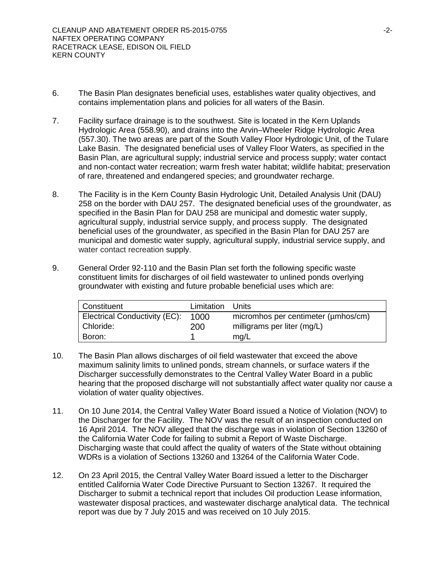- 6. The Basin Plan designates beneficial uses, establishes water quality objectives, and contains implementation plans and policies for all waters of the Basin.
- 7. Facility surface drainage is to the southwest. Site is located in the Kern Uplands Hydrologic Area (558.90), and drains into the Arvin–Wheeler Ridge Hydrologic Area (557.30). The two areas are part of the South Valley Floor Hydrologic Unit, of the Tulare Lake Basin. The designated beneficial uses of Valley Floor Waters, as specified in the Basin Plan, are agricultural supply; industrial service and process supply; water contact and non-contact water recreation; warm fresh water habitat; wildlife habitat; preservation of rare, threatened and endangered species; and groundwater recharge.
- 8. The Facility is in the Kern County Basin Hydrologic Unit, Detailed Analysis Unit (DAU) 258 on the border with DAU 257. The designated beneficial uses of the groundwater, as specified in the Basin Plan for DAU 258 are municipal and domestic water supply, agricultural supply, industrial service supply, and process supply. The designated beneficial uses of the groundwater, as specified in the Basin Plan for DAU 257 are municipal and domestic water supply, agricultural supply, industrial service supply, and water contact recreation supply.
- 9. General Order 92-110 and the Basin Plan set forth the following specific waste constituent limits for discharges of oil field wastewater to unlined ponds overlying groundwater with existing and future probable beneficial uses which are:

| Constituent                   | Limitation Units |                                     |
|-------------------------------|------------------|-------------------------------------|
| Electrical Conductivity (EC): | 1000             | micromhos per centimeter (umhos/cm) |
| Chloride:                     | <b>200</b>       | milligrams per liter (mg/L)         |
| Boron:                        |                  | mg/L                                |

- 10. The Basin Plan allows discharges of oil field wastewater that exceed the above maximum salinity limits to unlined ponds, stream channels, or surface waters if the Discharger successfully demonstrates to the Central Valley Water Board in a public hearing that the proposed discharge will not substantially affect water quality nor cause a violation of water quality objectives.
- 11. On 10 June 2014, the Central Valley Water Board issued a Notice of Violation (NOV) to the Discharger for the Facility. The NOV was the result of an inspection conducted on 16 April 2014. The NOV alleged that the discharge was in violation of Section 13260 of the California Water Code for failing to submit a Report of Waste Discharge. Discharging waste that could affect the quality of waters of the State without obtaining WDRs is a violation of Sections 13260 and 13264 of the California Water Code.
- 12. On 23 April 2015, the Central Valley Water Board issued a letter to the Discharger entitled California Water Code Directive Pursuant to Section 13267. It required the Discharger to submit a technical report that includes Oil production Lease information, wastewater disposal practices, and wastewater discharge analytical data. The technical report was due by 7 July 2015 and was received on 10 July 2015.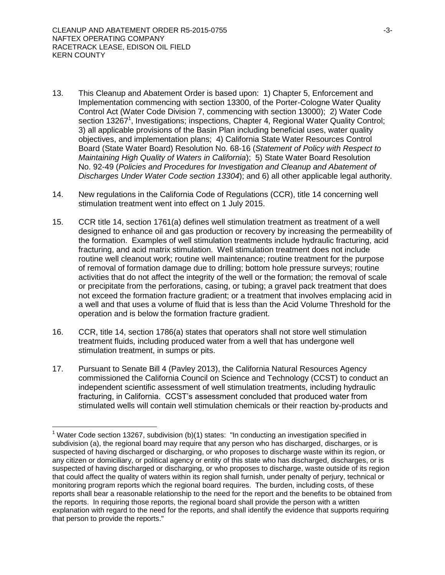$\overline{a}$ 

- 13. This Cleanup and Abatement Order is based upon: 1) Chapter 5, Enforcement and Implementation commencing with section 13300, of the Porter-Cologne Water Quality Control Act (Water Code Division 7, commencing with section 13000); 2) Water Code section 13267<sup>1</sup>, Investigations; inspections, Chapter 4, Regional Water Quality Control; 3) all applicable provisions of the Basin Plan including beneficial uses, water quality objectives, and implementation plans; 4) California State Water Resources Control Board (State Water Board) Resolution No. 68-16 (*Statement of Policy with Respect to Maintaining High Quality of Waters in California*); 5) State Water Board Resolution No. 92-49 (*Policies and Procedures for Investigation and Cleanup and Abatement of Discharges Under Water Code section 13304*); and 6) all other applicable legal authority.
- 14. New regulations in the California Code of Regulations (CCR), title 14 concerning well stimulation treatment went into effect on 1 July 2015.
- 15. CCR title 14, section 1761(a) defines well stimulation treatment as treatment of a well designed to enhance oil and gas production or recovery by increasing the permeability of the formation. Examples of well stimulation treatments include hydraulic fracturing, acid fracturing, and acid matrix stimulation. Well stimulation treatment does not include routine well cleanout work; routine well maintenance; routine treatment for the purpose of removal of formation damage due to drilling; bottom hole pressure surveys; routine activities that do not affect the integrity of the well or the formation; the removal of scale or precipitate from the perforations, casing, or tubing; a gravel pack treatment that does not exceed the formation fracture gradient; or a treatment that involves emplacing acid in a well and that uses a volume of fluid that is less than the Acid Volume Threshold for the operation and is below the formation fracture gradient.
- 16. CCR, title 14, section 1786(a) states that operators shall not store well stimulation treatment fluids, including produced water from a well that has undergone well stimulation treatment, in sumps or pits.
- 17. Pursuant to Senate Bill 4 (Pavley 2013), the California Natural Resources Agency commissioned the California Council on Science and Technology (CCST) to conduct an independent scientific assessment of well stimulation treatments, including hydraulic fracturing, in California. CCST's assessment concluded that produced water from stimulated wells will contain well stimulation chemicals or their reaction by-products and

<sup>&</sup>lt;sup>1</sup> Water Code section 13267, subdivision (b)(1) states: "In conducting an investigation specified in subdivision (a), the regional board may require that any person who has discharged, discharges, or is suspected of having discharged or discharging, or who proposes to discharge waste within its region, or any citizen or domiciliary, or political agency or entity of this state who has discharged, discharges, or is suspected of having discharged or discharging, or who proposes to discharge, waste outside of its region that could affect the quality of waters within its region shall furnish, under penalty of perjury, technical or monitoring program reports which the regional board requires. The burden, including costs, of these reports shall bear a reasonable relationship to the need for the report and the benefits to be obtained from the reports. In requiring those reports, the regional board shall provide the person with a written explanation with regard to the need for the reports, and shall identify the evidence that supports requiring that person to provide the reports."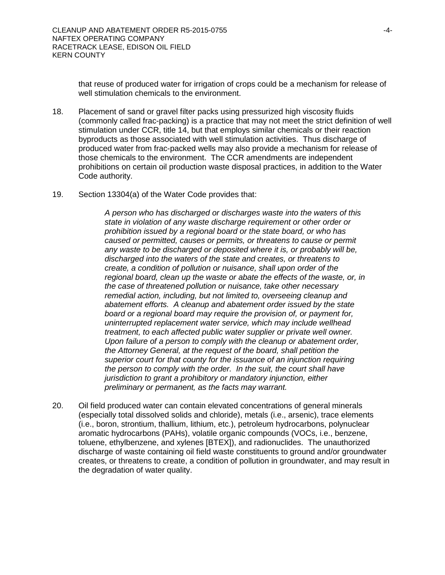that reuse of produced water for irrigation of crops could be a mechanism for release of well stimulation chemicals to the environment.

- 18. Placement of sand or gravel filter packs using pressurized high viscosity fluids (commonly called frac-packing) is a practice that may not meet the strict definition of well stimulation under CCR, title 14, but that employs similar chemicals or their reaction byproducts as those associated with well stimulation activities. Thus discharge of produced water from frac-packed wells may also provide a mechanism for release of those chemicals to the environment. The CCR amendments are independent prohibitions on certain oil production waste disposal practices, in addition to the Water Code authority.
- 19. Section 13304(a) of the Water Code provides that:

*A person who has discharged or discharges waste into the waters of this state in violation of any waste discharge requirement or other order or prohibition issued by a regional board or the state board, or who has caused or permitted, causes or permits, or threatens to cause or permit any waste to be discharged or deposited where it is, or probably will be, discharged into the waters of the state and creates, or threatens to create, a condition of pollution or nuisance, shall upon order of the regional board, clean up the waste or abate the effects of the waste, or, in the case of threatened pollution or nuisance, take other necessary remedial action, including, but not limited to, overseeing cleanup and abatement efforts. A cleanup and abatement order issued by the state board or a regional board may require the provision of, or payment for, uninterrupted replacement water service, which may include wellhead treatment, to each affected public water supplier or private well owner. Upon failure of a person to comply with the cleanup or abatement order, the Attorney General, at the request of the board, shall petition the superior court for that county for the issuance of an injunction requiring the person to comply with the order. In the suit, the court shall have jurisdiction to grant a prohibitory or mandatory injunction, either preliminary or permanent, as the facts may warrant.*

20. Oil field produced water can contain elevated concentrations of general minerals (especially total dissolved solids and chloride), metals (i.e., arsenic), trace elements (i.e., boron, strontium, thallium, lithium, etc.), petroleum hydrocarbons, polynuclear aromatic hydrocarbons (PAHs), volatile organic compounds (VOCs, i.e., benzene, toluene, ethylbenzene, and xylenes [BTEX]), and radionuclides. The unauthorized discharge of waste containing oil field waste constituents to ground and/or groundwater creates, or threatens to create, a condition of pollution in groundwater, and may result in the degradation of water quality.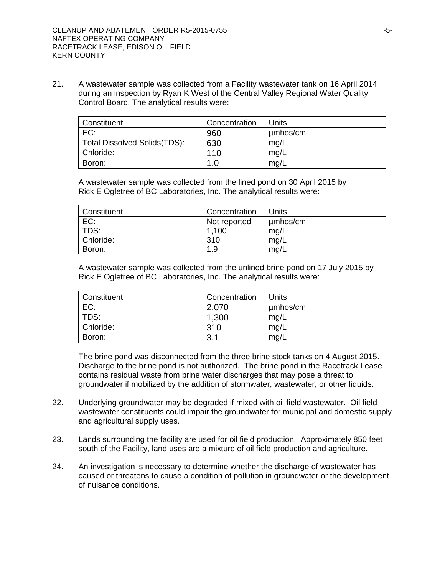21. A wastewater sample was collected from a Facility wastewater tank on 16 April 2014 during an inspection by Ryan K West of the Central Valley Regional Water Quality Control Board. The analytical results were:

| Constituent                  | Concentration | Units    |
|------------------------------|---------------|----------|
| EC:                          | 960           | µmbos/cm |
| Total Dissolved Solids(TDS): | 630           | mg/L     |
| Chloride:                    | 110           | mg/L     |
| Boron:                       | 1.0           | mg/L     |

A wastewater sample was collected from the lined pond on 30 April 2015 by Rick E Ogletree of BC Laboratories, Inc. The analytical results were:

| Constituent | Concentration | Units    |
|-------------|---------------|----------|
| EC:         | Not reported  | µmbos/cm |
| TDS:        | 1,100         | mg/L     |
| Chloride:   | 310           | mg/L     |
| Boron:      | 1.9           | mq/L     |

A wastewater sample was collected from the unlined brine pond on 17 July 2015 by Rick E Ogletree of BC Laboratories, Inc. The analytical results were:

| Constituent | Concentration | Units    |
|-------------|---------------|----------|
| EC:         | 2,070         | µmbos/cm |
| TDS:        | 1,300         | mg/L     |
| Chloride:   | 310           | mg/L     |
| Boron:      | 3.1           | mg/L     |

The brine pond was disconnected from the three brine stock tanks on 4 August 2015. Discharge to the brine pond is not authorized. The brine pond in the Racetrack Lease contains residual waste from brine water discharges that may pose a threat to groundwater if mobilized by the addition of stormwater, wastewater, or other liquids.

- 22. Underlying groundwater may be degraded if mixed with oil field wastewater. Oil field wastewater constituents could impair the groundwater for municipal and domestic supply and agricultural supply uses.
- 23. Lands surrounding the facility are used for oil field production. Approximately 850 feet south of the Facility, land uses are a mixture of oil field production and agriculture.
- 24. An investigation is necessary to determine whether the discharge of wastewater has caused or threatens to cause a condition of pollution in groundwater or the development of nuisance conditions.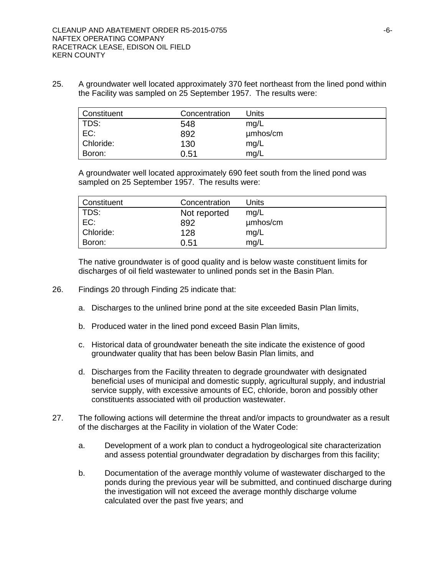25. A groundwater well located approximately 370 feet northeast from the lined pond within the Facility was sampled on 25 September 1957. The results were:

| Constituent | Concentration | Units    |
|-------------|---------------|----------|
| TDS:        | 548           | mg/L     |
| EC:         | 892           | µmbos/cm |
| Chloride:   | 130           | mg/L     |
| Boron:      | 0.51          | mg/L     |

A groundwater well located approximately 690 feet south from the lined pond was sampled on 25 September 1957. The results were:

| Constituent | Concentration | Units    |
|-------------|---------------|----------|
| TDS:        | Not reported  | mg/L     |
| EC:         | 892           | umhos/cm |
| Chloride:   | 128           | mg/L     |
| Boron:      | 0.51          | mq/L     |

The native groundwater is of good quality and is below waste constituent limits for discharges of oil field wastewater to unlined ponds set in the Basin Plan.

- 26. Findings 20 through Finding 25 indicate that:
	- a. Discharges to the unlined brine pond at the site exceeded Basin Plan limits,
	- b. Produced water in the lined pond exceed Basin Plan limits,
	- c. Historical data of groundwater beneath the site indicate the existence of good groundwater quality that has been below Basin Plan limits, and
	- d. Discharges from the Facility threaten to degrade groundwater with designated beneficial uses of municipal and domestic supply, agricultural supply, and industrial service supply, with excessive amounts of EC, chloride, boron and possibly other constituents associated with oil production wastewater.
- 27. The following actions will determine the threat and/or impacts to groundwater as a result of the discharges at the Facility in violation of the Water Code:
	- a. Development of a work plan to conduct a hydrogeological site characterization and assess potential groundwater degradation by discharges from this facility;
	- b. Documentation of the average monthly volume of wastewater discharged to the ponds during the previous year will be submitted, and continued discharge during the investigation will not exceed the average monthly discharge volume calculated over the past five years; and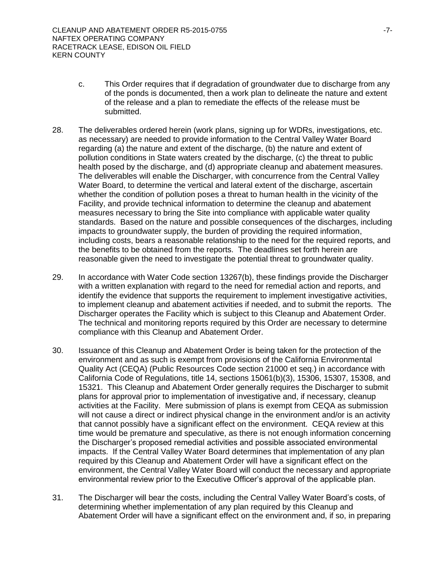- c. This Order requires that if degradation of groundwater due to discharge from any of the ponds is documented, then a work plan to delineate the nature and extent of the release and a plan to remediate the effects of the release must be submitted.
- 28. The deliverables ordered herein (work plans, signing up for WDRs, investigations, etc. as necessary) are needed to provide information to the Central Valley Water Board regarding (a) the nature and extent of the discharge, (b) the nature and extent of pollution conditions in State waters created by the discharge, (c) the threat to public health posed by the discharge, and (d) appropriate cleanup and abatement measures. The deliverables will enable the Discharger, with concurrence from the Central Valley Water Board, to determine the vertical and lateral extent of the discharge, ascertain whether the condition of pollution poses a threat to human health in the vicinity of the Facility, and provide technical information to determine the cleanup and abatement measures necessary to bring the Site into compliance with applicable water quality standards. Based on the nature and possible consequences of the discharges, including impacts to groundwater supply, the burden of providing the required information, including costs, bears a reasonable relationship to the need for the required reports, and the benefits to be obtained from the reports. The deadlines set forth herein are reasonable given the need to investigate the potential threat to groundwater quality.
- 29. In accordance with Water Code section 13267(b), these findings provide the Discharger with a written explanation with regard to the need for remedial action and reports, and identify the evidence that supports the requirement to implement investigative activities, to implement cleanup and abatement activities if needed, and to submit the reports. The Discharger operates the Facility which is subject to this Cleanup and Abatement Order. The technical and monitoring reports required by this Order are necessary to determine compliance with this Cleanup and Abatement Order.
- 30. Issuance of this Cleanup and Abatement Order is being taken for the protection of the environment and as such is exempt from provisions of the California Environmental Quality Act (CEQA) (Public Resources Code section 21000 et seq.) in accordance with California Code of Regulations, title 14, sections 15061(b)(3), 15306, 15307, 15308, and 15321. This Cleanup and Abatement Order generally requires the Discharger to submit plans for approval prior to implementation of investigative and, if necessary, cleanup activities at the Facility. Mere submission of plans is exempt from CEQA as submission will not cause a direct or indirect physical change in the environment and/or is an activity that cannot possibly have a significant effect on the environment. CEQA review at this time would be premature and speculative, as there is not enough information concerning the Discharger's proposed remedial activities and possible associated environmental impacts. If the Central Valley Water Board determines that implementation of any plan required by this Cleanup and Abatement Order will have a significant effect on the environment, the Central Valley Water Board will conduct the necessary and appropriate environmental review prior to the Executive Officer's approval of the applicable plan.
- 31. The Discharger will bear the costs, including the Central Valley Water Board's costs, of determining whether implementation of any plan required by this Cleanup and Abatement Order will have a significant effect on the environment and, if so, in preparing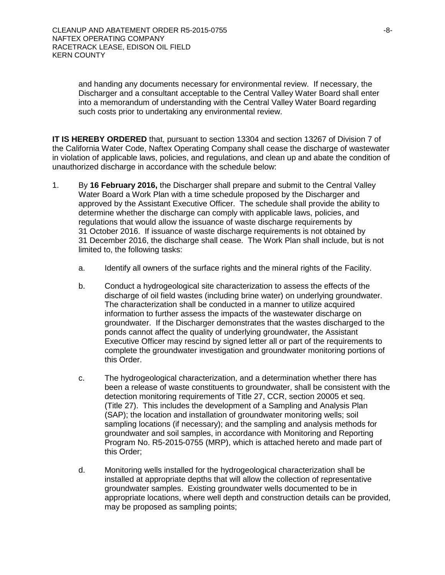and handing any documents necessary for environmental review. If necessary, the Discharger and a consultant acceptable to the Central Valley Water Board shall enter into a memorandum of understanding with the Central Valley Water Board regarding such costs prior to undertaking any environmental review.

**IT IS HEREBY ORDERED** that, pursuant to section 13304 and section 13267 of Division 7 of the California Water Code, Naftex Operating Company shall cease the discharge of wastewater in violation of applicable laws, policies, and regulations, and clean up and abate the condition of unauthorized discharge in accordance with the schedule below:

- 1. By **16 February 2016,** the Discharger shall prepare and submit to the Central Valley Water Board a Work Plan with a time schedule proposed by the Discharger and approved by the Assistant Executive Officer. The schedule shall provide the ability to determine whether the discharge can comply with applicable laws, policies, and regulations that would allow the issuance of waste discharge requirements by 31 October 2016. If issuance of waste discharge requirements is not obtained by 31 December 2016, the discharge shall cease. The Work Plan shall include, but is not limited to, the following tasks:
	- a. Identify all owners of the surface rights and the mineral rights of the Facility.
	- b. Conduct a hydrogeological site characterization to assess the effects of the discharge of oil field wastes (including brine water) on underlying groundwater. The characterization shall be conducted in a manner to utilize acquired information to further assess the impacts of the wastewater discharge on groundwater. If the Discharger demonstrates that the wastes discharged to the ponds cannot affect the quality of underlying groundwater, the Assistant Executive Officer may rescind by signed letter all or part of the requirements to complete the groundwater investigation and groundwater monitoring portions of this Order.
	- c. The hydrogeological characterization, and a determination whether there has been a release of waste constituents to groundwater, shall be consistent with the detection monitoring requirements of Title 27, CCR, section 20005 et seq. (Title 27). This includes the development of a Sampling and Analysis Plan (SAP); the location and installation of groundwater monitoring wells; soil sampling locations (if necessary); and the sampling and analysis methods for groundwater and soil samples, in accordance with Monitoring and Reporting Program No. R5-2015-0755 (MRP), which is attached hereto and made part of this Order;
	- d. Monitoring wells installed for the hydrogeological characterization shall be installed at appropriate depths that will allow the collection of representative groundwater samples. Existing groundwater wells documented to be in appropriate locations, where well depth and construction details can be provided, may be proposed as sampling points;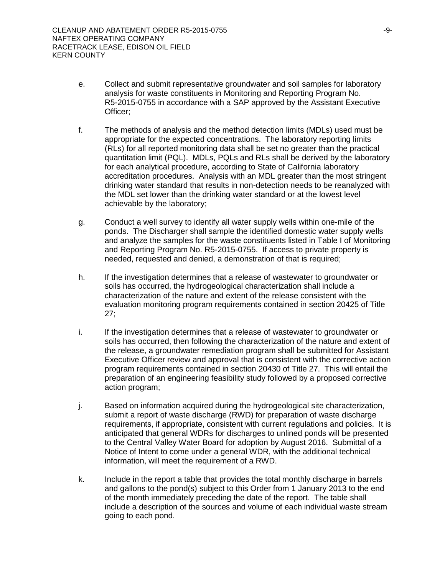- e. Collect and submit representative groundwater and soil samples for laboratory analysis for waste constituents in Monitoring and Reporting Program No. R5-2015-0755 in accordance with a SAP approved by the Assistant Executive Officer;
- f. The methods of analysis and the method detection limits (MDLs) used must be appropriate for the expected concentrations. The laboratory reporting limits (RLs) for all reported monitoring data shall be set no greater than the practical quantitation limit (PQL). MDLs, PQLs and RLs shall be derived by the laboratory for each analytical procedure, according to State of California laboratory accreditation procedures. Analysis with an MDL greater than the most stringent drinking water standard that results in non-detection needs to be reanalyzed with the MDL set lower than the drinking water standard or at the lowest level achievable by the laboratory;
- g. Conduct a well survey to identify all water supply wells within one-mile of the ponds. The Discharger shall sample the identified domestic water supply wells and analyze the samples for the waste constituents listed in Table I of Monitoring and Reporting Program No. R5-2015-0755. If access to private property is needed, requested and denied, a demonstration of that is required;
- h. If the investigation determines that a release of wastewater to groundwater or soils has occurred, the hydrogeological characterization shall include a characterization of the nature and extent of the release consistent with the evaluation monitoring program requirements contained in section 20425 of Title 27;
- i. If the investigation determines that a release of wastewater to groundwater or soils has occurred, then following the characterization of the nature and extent of the release, a groundwater remediation program shall be submitted for Assistant Executive Officer review and approval that is consistent with the corrective action program requirements contained in section 20430 of Title 27. This will entail the preparation of an engineering feasibility study followed by a proposed corrective action program;
- j. Based on information acquired during the hydrogeological site characterization, submit a report of waste discharge (RWD) for preparation of waste discharge requirements, if appropriate, consistent with current regulations and policies. It is anticipated that general WDRs for discharges to unlined ponds will be presented to the Central Valley Water Board for adoption by August 2016. Submittal of a Notice of Intent to come under a general WDR, with the additional technical information, will meet the requirement of a RWD.
- k. Include in the report a table that provides the total monthly discharge in barrels and gallons to the pond(s) subject to this Order from 1 January 2013 to the end of the month immediately preceding the date of the report. The table shall include a description of the sources and volume of each individual waste stream going to each pond.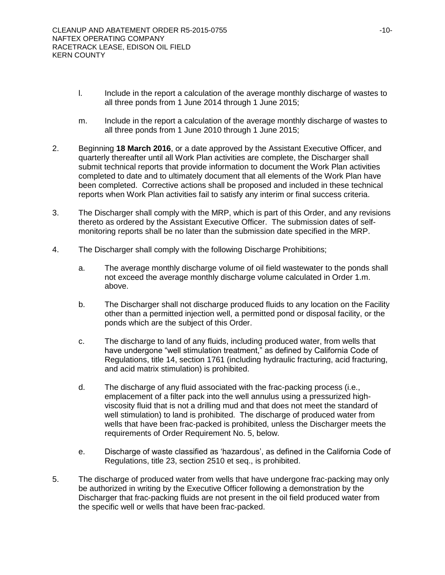- I. Include in the report a calculation of the average monthly discharge of wastes to all three ponds from 1 June 2014 through 1 June 2015;
- m. Include in the report a calculation of the average monthly discharge of wastes to all three ponds from 1 June 2010 through 1 June 2015;
- 2. Beginning **18 March 2016**, or a date approved by the Assistant Executive Officer, and quarterly thereafter until all Work Plan activities are complete, the Discharger shall submit technical reports that provide information to document the Work Plan activities completed to date and to ultimately document that all elements of the Work Plan have been completed. Corrective actions shall be proposed and included in these technical reports when Work Plan activities fail to satisfy any interim or final success criteria.
- 3. The Discharger shall comply with the MRP, which is part of this Order, and any revisions thereto as ordered by the Assistant Executive Officer. The submission dates of selfmonitoring reports shall be no later than the submission date specified in the MRP.
- 4. The Discharger shall comply with the following Discharge Prohibitions;
	- a. The average monthly discharge volume of oil field wastewater to the ponds shall not exceed the average monthly discharge volume calculated in Order 1.m. above.
	- b. The Discharger shall not discharge produced fluids to any location on the Facility other than a permitted injection well, a permitted pond or disposal facility, or the ponds which are the subject of this Order.
	- c. The discharge to land of any fluids, including produced water, from wells that have undergone "well stimulation treatment," as defined by California Code of Regulations, title 14, section 1761 (including hydraulic fracturing, acid fracturing, and acid matrix stimulation) is prohibited.
	- d. The discharge of any fluid associated with the frac-packing process (i.e., emplacement of a filter pack into the well annulus using a pressurized highviscosity fluid that is not a drilling mud and that does not meet the standard of well stimulation) to land is prohibited. The discharge of produced water from wells that have been frac-packed is prohibited, unless the Discharger meets the requirements of Order Requirement No. 5, below.
	- e. Discharge of waste classified as 'hazardous', as defined in the California Code of Regulations, title 23, section 2510 et seq., is prohibited.
- 5. The discharge of produced water from wells that have undergone frac-packing may only be authorized in writing by the Executive Officer following a demonstration by the Discharger that frac-packing fluids are not present in the oil field produced water from the specific well or wells that have been frac-packed.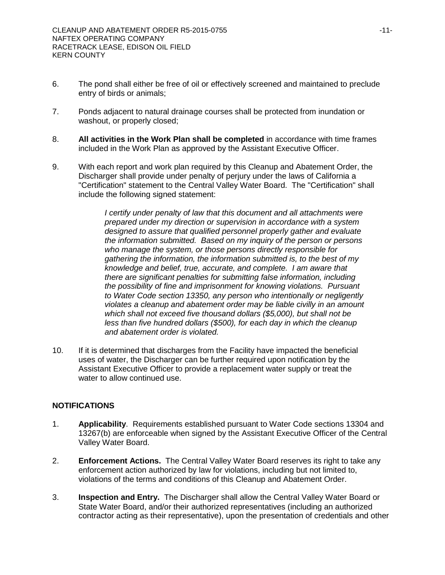- 6. The pond shall either be free of oil or effectively screened and maintained to preclude entry of birds or animals;
- 7. Ponds adjacent to natural drainage courses shall be protected from inundation or washout, or properly closed;
- 8. **All activities in the Work Plan shall be completed** in accordance with time frames included in the Work Plan as approved by the Assistant Executive Officer.
- 9. With each report and work plan required by this Cleanup and Abatement Order, the Discharger shall provide under penalty of perjury under the laws of California a "Certification" statement to the Central Valley Water Board. The "Certification" shall include the following signed statement:

*I* certify under penalty of law that this document and all attachments were *prepared under my direction or supervision in accordance with a system designed to assure that qualified personnel properly gather and evaluate the information submitted. Based on my inquiry of the person or persons who manage the system, or those persons directly responsible for gathering the information, the information submitted is, to the best of my knowledge and belief, true, accurate, and complete. I am aware that there are significant penalties for submitting false information, including the possibility of fine and imprisonment for knowing violations. Pursuant to Water Code section 13350, any person who intentionally or negligently violates a cleanup and abatement order may be liable civilly in an amount which shall not exceed five thousand dollars (\$5,000), but shall not be less than five hundred dollars (\$500), for each day in which the cleanup and abatement order is violated.*

10. If it is determined that discharges from the Facility have impacted the beneficial uses of water, the Discharger can be further required upon notification by the Assistant Executive Officer to provide a replacement water supply or treat the water to allow continued use.

## **NOTIFICATIONS**

- 1. **Applicability**. Requirements established pursuant to Water Code sections 13304 and 13267(b) are enforceable when signed by the Assistant Executive Officer of the Central Valley Water Board.
- 2. **Enforcement Actions.** The Central Valley Water Board reserves its right to take any enforcement action authorized by law for violations, including but not limited to, violations of the terms and conditions of this Cleanup and Abatement Order.
- 3. **Inspection and Entry.** The Discharger shall allow the Central Valley Water Board or State Water Board, and/or their authorized representatives (including an authorized contractor acting as their representative), upon the presentation of credentials and other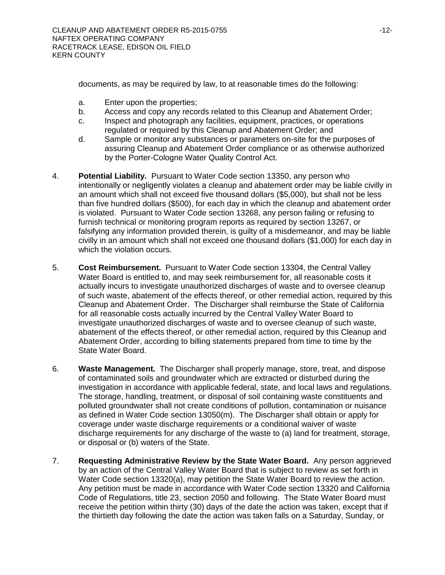documents, as may be required by law, to at reasonable times do the following:

- a. Enter upon the properties;
- b. Access and copy any records related to this Cleanup and Abatement Order;
- c. Inspect and photograph any facilities, equipment, practices, or operations regulated or required by this Cleanup and Abatement Order; and
- d. Sample or monitor any substances or parameters on-site for the purposes of assuring Cleanup and Abatement Order compliance or as otherwise authorized by the Porter-Cologne Water Quality Control Act.
- 4. **Potential Liability.** Pursuant to Water Code section 13350, any person who intentionally or negligently violates a cleanup and abatement order may be liable civilly in an amount which shall not exceed five thousand dollars (\$5,000), but shall not be less than five hundred dollars (\$500), for each day in which the cleanup and abatement order is violated. Pursuant to Water Code section 13268, any person failing or refusing to furnish technical or monitoring program reports as required by section 13267, or falsifying any information provided therein, is guilty of a misdemeanor, and may be liable civilly in an amount which shall not exceed one thousand dollars (\$1,000) for each day in which the violation occurs.
- 5. **Cost Reimbursement.** Pursuant to Water Code section 13304, the Central Valley Water Board is entitled to, and may seek reimbursement for, all reasonable costs it actually incurs to investigate unauthorized discharges of waste and to oversee cleanup of such waste, abatement of the effects thereof, or other remedial action, required by this Cleanup and Abatement Order. The Discharger shall reimburse the State of California for all reasonable costs actually incurred by the Central Valley Water Board to investigate unauthorized discharges of waste and to oversee cleanup of such waste, abatement of the effects thereof, or other remedial action, required by this Cleanup and Abatement Order, according to billing statements prepared from time to time by the State Water Board.
- 6. **Waste Management.** The Discharger shall properly manage, store, treat, and dispose of contaminated soils and groundwater which are extracted or disturbed during the investigation in accordance with applicable federal, state, and local laws and regulations. The storage, handling, treatment, or disposal of soil containing waste constituents and polluted groundwater shall not create conditions of pollution, contamination or nuisance as defined in Water Code section 13050(m). The Discharger shall obtain or apply for coverage under waste discharge requirements or a conditional waiver of waste discharge requirements for any discharge of the waste to (a) land for treatment, storage, or disposal or (b) waters of the State.
- 7. **Requesting Administrative Review by the State Water Board.** Any person aggrieved by an action of the Central Valley Water Board that is subject to review as set forth in Water Code section 13320(a), may petition the State Water Board to review the action. Any petition must be made in accordance with Water Code section 13320 and California Code of Regulations, title 23, section 2050 and following. The State Water Board must receive the petition within thirty (30) days of the date the action was taken, except that if the thirtieth day following the date the action was taken falls on a Saturday, Sunday, or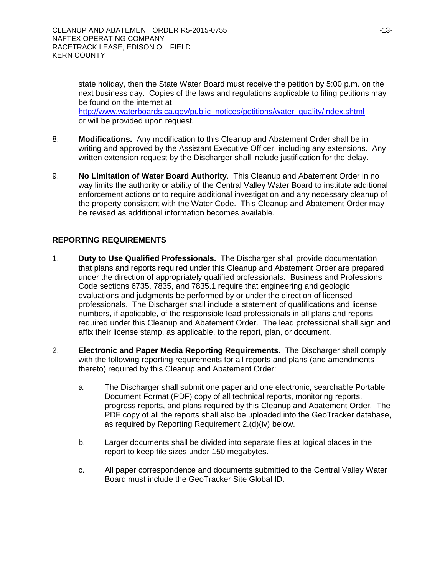state holiday, then the State Water Board must receive the petition by 5:00 p.m. on the next business day. Copies of the laws and regulations applicable to filing petitions may be found on the internet at [http://www.waterboards.ca.gov/public\\_notices/petitions/water\\_quality/index.shtml](http://www.waterboards.ca.gov/public_notices/petitions/water_quality/index.shtml) or will be provided upon request.

- 8. **Modifications.** Any modification to this Cleanup and Abatement Order shall be in writing and approved by the Assistant Executive Officer, including any extensions. Any written extension request by the Discharger shall include justification for the delay.
- 9. **No Limitation of Water Board Authority**. This Cleanup and Abatement Order in no way limits the authority or ability of the Central Valley Water Board to institute additional enforcement actions or to require additional investigation and any necessary cleanup of the property consistent with the Water Code. This Cleanup and Abatement Order may be revised as additional information becomes available.

## **REPORTING REQUIREMENTS**

- 1. **Duty to Use Qualified Professionals.** The Discharger shall provide documentation that plans and reports required under this Cleanup and Abatement Order are prepared under the direction of appropriately qualified professionals. Business and Professions Code sections 6735, 7835, and 7835.1 require that engineering and geologic evaluations and judgments be performed by or under the direction of licensed professionals. The Discharger shall include a statement of qualifications and license numbers, if applicable, of the responsible lead professionals in all plans and reports required under this Cleanup and Abatement Order. The lead professional shall sign and affix their license stamp, as applicable, to the report, plan, or document.
- 2. **Electronic and Paper Media Reporting Requirements.** The Discharger shall comply with the following reporting requirements for all reports and plans (and amendments thereto) required by this Cleanup and Abatement Order:
	- a. The Discharger shall submit one paper and one electronic, searchable Portable Document Format (PDF) copy of all technical reports, monitoring reports, progress reports, and plans required by this Cleanup and Abatement Order. The PDF copy of all the reports shall also be uploaded into the GeoTracker database, as required by Reporting Requirement 2.(d)(iv) below.
	- b. Larger documents shall be divided into separate files at logical places in the report to keep file sizes under 150 megabytes.
	- c. All paper correspondence and documents submitted to the Central Valley Water Board must include the GeoTracker Site Global ID.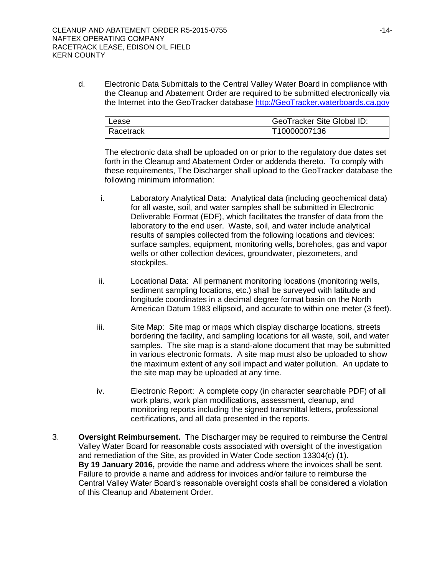d. Electronic Data Submittals to the Central Valley Water Board in compliance with the Cleanup and Abatement Order are required to be submitted electronically via the Internet into the GeoTracker database [http://GeoTracker.waterboards.ca.gov](http://geotracker.waterboards.ca.gov/)

| l Lease     | GeoTracker Site Global ID: |
|-------------|----------------------------|
| l Racetrack | T10000007136               |

The electronic data shall be uploaded on or prior to the regulatory due dates set forth in the Cleanup and Abatement Order or addenda thereto. To comply with these requirements, The Discharger shall upload to the GeoTracker database the following minimum information:

- i. Laboratory Analytical Data: Analytical data (including geochemical data) for all waste, soil, and water samples shall be submitted in Electronic Deliverable Format (EDF), which facilitates the transfer of data from the laboratory to the end user. Waste, soil, and water include analytical results of samples collected from the following locations and devices: surface samples, equipment, monitoring wells, boreholes, gas and vapor wells or other collection devices, groundwater, piezometers, and stockpiles.
- ii. Locational Data: All permanent monitoring locations (monitoring wells, sediment sampling locations, etc.) shall be surveyed with latitude and longitude coordinates in a decimal degree format basin on the North American Datum 1983 ellipsoid, and accurate to within one meter (3 feet).
- iii. Site Map: Site map or maps which display discharge locations, streets bordering the facility, and sampling locations for all waste, soil, and water samples. The site map is a stand-alone document that may be submitted in various electronic formats. A site map must also be uploaded to show the maximum extent of any soil impact and water pollution. An update to the site map may be uploaded at any time.
- iv. Electronic Report: A complete copy (in character searchable PDF) of all work plans, work plan modifications, assessment, cleanup, and monitoring reports including the signed transmittal letters, professional certifications, and all data presented in the reports.
- 3. **Oversight Reimbursement.** The Discharger may be required to reimburse the Central Valley Water Board for reasonable costs associated with oversight of the investigation and remediation of the Site, as provided in Water Code section 13304(c) (1). **By 19 January 2016,** provide the name and address where the invoices shall be sent. Failure to provide a name and address for invoices and/or failure to reimburse the Central Valley Water Board's reasonable oversight costs shall be considered a violation of this Cleanup and Abatement Order.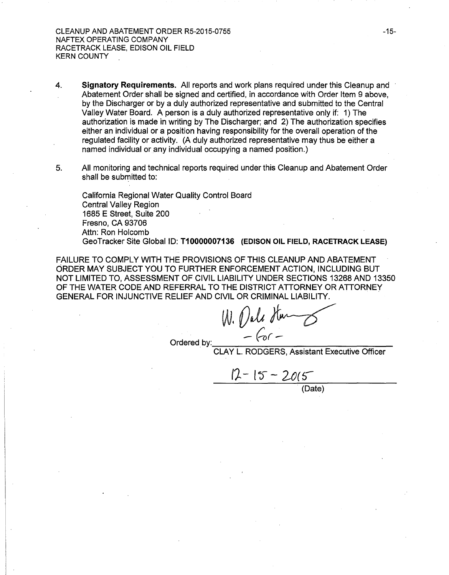- 4. Signatory Requirements. All reports and work plans required under this Cleanup and Abatement Order shall be signed and certified, in accordance with Order Item 9 above, by the Discharger or by a duly authorized representative and submitted to the Central Valley Water Board. A person is a duly authorized representative only if: 1) The authorization is made in writing by The Discharger; and 2) The authorization specifies either an individual or a position having responsibility for the overall operation of the regulated facility or activity. (A duly authorized representative may thus be either a named individual or any individual occupying a named position.)
- 5. All monitoring and technical reports required under this Cleanup and Abatement Order shall be submitted to:

California Regional Water Quality Control Board Central Valley Region 1685 E Street, Suite 200 Fresno, CA 93706 Attn: Ron Holcomb GeoTracker Site Global ID: T10000007136 (EDISON OIL FIELD, RACETRACK LEASE)

FAILURE TO COMPLY WITH THE PROVISIONS OF THIS CLEANUP AND ABATEMENT ORDER MAY SUBJECT YOU TO FURTHER ENFORCEMENT ACTION, INCLUDING BUT NOT LIMITED TO, ASSESSMENT OF CIVIL LIABILITY UNDER SECTIONS 13268 AND 13350 OF THE WATER CODE AND REFERRAL TO THE DISTRICT ATTORNEY OR ATTORNEY GENERAL FOR INJUNCTIVE RELIEF AND CIVIL OR CRIMINAL LIABILITY.

 $W.$  *Oall Hum*<br>Ordered by:  $-60$  -<br>CLAY L. RODGERS, Assistant Executive Officer

12 - 15 - 2015

(Date)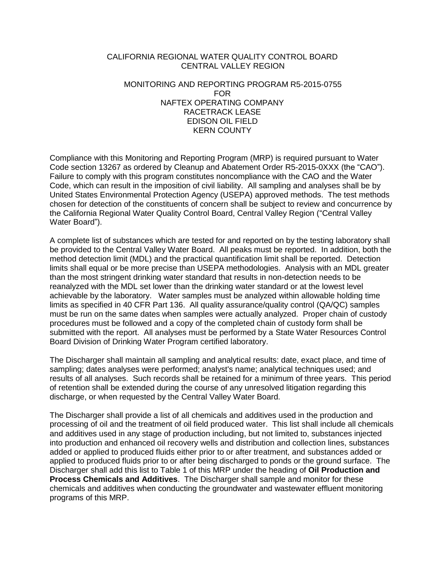### CALIFORNIA REGIONAL WATER QUALITY CONTROL BOARD CENTRAL VALLEY REGION

#### MONITORING AND REPORTING PROGRAM R5-2015-0755 FOR NAFTEX OPERATING COMPANY RACETRACK LEASE EDISON OIL FIELD KERN COUNTY

Compliance with this Monitoring and Reporting Program (MRP) is required pursuant to Water Code section 13267 as ordered by Cleanup and Abatement Order R5-2015-0XXX (the "CAO"). Failure to comply with this program constitutes noncompliance with the CAO and the Water Code, which can result in the imposition of civil liability. All sampling and analyses shall be by United States Environmental Protection Agency (USEPA) approved methods. The test methods chosen for detection of the constituents of concern shall be subject to review and concurrence by the California Regional Water Quality Control Board, Central Valley Region ("Central Valley Water Board").

A complete list of substances which are tested for and reported on by the testing laboratory shall be provided to the Central Valley Water Board. All peaks must be reported. In addition, both the method detection limit (MDL) and the practical quantification limit shall be reported. Detection limits shall equal or be more precise than USEPA methodologies. Analysis with an MDL greater than the most stringent drinking water standard that results in non-detection needs to be reanalyzed with the MDL set lower than the drinking water standard or at the lowest level achievable by the laboratory. Water samples must be analyzed within allowable holding time limits as specified in 40 CFR Part 136. All quality assurance/quality control (QA/QC) samples must be run on the same dates when samples were actually analyzed. Proper chain of custody procedures must be followed and a copy of the completed chain of custody form shall be submitted with the report. All analyses must be performed by a State Water Resources Control Board Division of Drinking Water Program certified laboratory.

The Discharger shall maintain all sampling and analytical results: date, exact place, and time of sampling; dates analyses were performed; analyst's name; analytical techniques used; and results of all analyses. Such records shall be retained for a minimum of three years. This period of retention shall be extended during the course of any unresolved litigation regarding this discharge, or when requested by the Central Valley Water Board.

The Discharger shall provide a list of all chemicals and additives used in the production and processing of oil and the treatment of oil field produced water. This list shall include all chemicals and additives used in any stage of production including, but not limited to, substances injected into production and enhanced oil recovery wells and distribution and collection lines, substances added or applied to produced fluids either prior to or after treatment, and substances added or applied to produced fluids prior to or after being discharged to ponds or the ground surface. The Discharger shall add this list to Table 1 of this MRP under the heading of **Oil Production and Process Chemicals and Additives**. The Discharger shall sample and monitor for these chemicals and additives when conducting the groundwater and wastewater effluent monitoring programs of this MRP.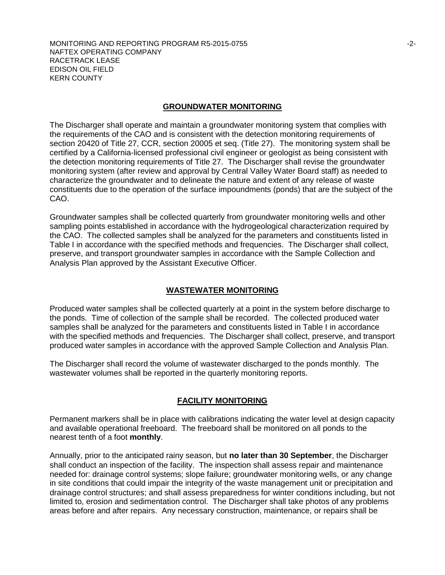#### **GROUNDWATER MONITORING**

The Discharger shall operate and maintain a groundwater monitoring system that complies with the requirements of the CAO and is consistent with the detection monitoring requirements of section 20420 of Title 27, CCR, section 20005 et seq. (Title 27). The monitoring system shall be certified by a California-licensed professional civil engineer or geologist as being consistent with the detection monitoring requirements of Title 27. The Discharger shall revise the groundwater monitoring system (after review and approval by Central Valley Water Board staff) as needed to characterize the groundwater and to delineate the nature and extent of any release of waste constituents due to the operation of the surface impoundments (ponds) that are the subject of the CAO.

Groundwater samples shall be collected quarterly from groundwater monitoring wells and other sampling points established in accordance with the hydrogeological characterization required by the CAO. The collected samples shall be analyzed for the parameters and constituents listed in Table I in accordance with the specified methods and frequencies. The Discharger shall collect, preserve, and transport groundwater samples in accordance with the Sample Collection and Analysis Plan approved by the Assistant Executive Officer.

#### **WASTEWATER MONITORING**

Produced water samples shall be collected quarterly at a point in the system before discharge to the ponds. Time of collection of the sample shall be recorded. The collected produced water samples shall be analyzed for the parameters and constituents listed in Table I in accordance with the specified methods and frequencies. The Discharger shall collect, preserve, and transport produced water samples in accordance with the approved Sample Collection and Analysis Plan.

The Discharger shall record the volume of wastewater discharged to the ponds monthly. The wastewater volumes shall be reported in the quarterly monitoring reports.

#### **FACILITY MONITORING**

Permanent markers shall be in place with calibrations indicating the water level at design capacity and available operational freeboard. The freeboard shall be monitored on all ponds to the nearest tenth of a foot **monthly**.

Annually, prior to the anticipated rainy season, but **no later than 30 September**, the Discharger shall conduct an inspection of the facility. The inspection shall assess repair and maintenance needed for: drainage control systems; slope failure; groundwater monitoring wells, or any change in site conditions that could impair the integrity of the waste management unit or precipitation and drainage control structures; and shall assess preparedness for winter conditions including, but not limited to, erosion and sedimentation control. The Discharger shall take photos of any problems areas before and after repairs. Any necessary construction, maintenance, or repairs shall be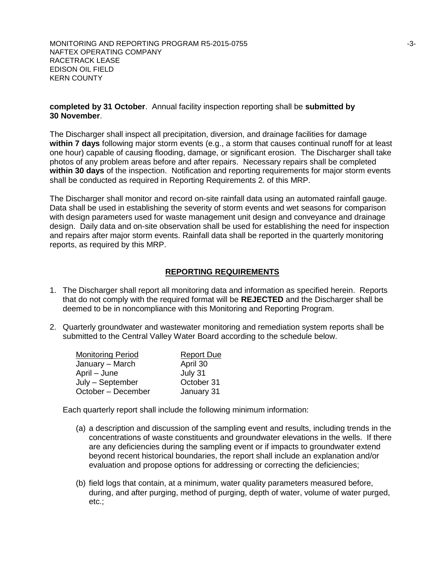#### **completed by 31 October**. Annual facility inspection reporting shall be **submitted by 30 November**.

The Discharger shall inspect all precipitation, diversion, and drainage facilities for damage **within 7 days** following major storm events (e.g., a storm that causes continual runoff for at least one hour) capable of causing flooding, damage, or significant erosion. The Discharger shall take photos of any problem areas before and after repairs. Necessary repairs shall be completed **within 30 days** of the inspection. Notification and reporting requirements for major storm events shall be conducted as required in Reporting Requirements 2. of this MRP.

The Discharger shall monitor and record on-site rainfall data using an automated rainfall gauge. Data shall be used in establishing the severity of storm events and wet seasons for comparison with design parameters used for waste management unit design and conveyance and drainage design. Daily data and on-site observation shall be used for establishing the need for inspection and repairs after major storm events. Rainfall data shall be reported in the quarterly monitoring reports, as required by this MRP.

### **REPORTING REQUIREMENTS**

- 1. The Discharger shall report all monitoring data and information as specified herein. Reports that do not comply with the required format will be **REJECTED** and the Discharger shall be deemed to be in noncompliance with this Monitoring and Reporting Program.
- 2. Quarterly groundwater and wastewater monitoring and remediation system reports shall be submitted to the Central Valley Water Board according to the schedule below.

| <b>Monitoring Period</b> | <b>Report Due</b> |
|--------------------------|-------------------|
| January - March          | April 30          |
| April – June             | July 31           |
| July - September         | October 31        |
| October - December       | January 31        |

Each quarterly report shall include the following minimum information:

- (a) a description and discussion of the sampling event and results, including trends in the concentrations of waste constituents and groundwater elevations in the wells. If there are any deficiencies during the sampling event or if impacts to groundwater extend beyond recent historical boundaries, the report shall include an explanation and/or evaluation and propose options for addressing or correcting the deficiencies;
- (b) field logs that contain, at a minimum, water quality parameters measured before, during, and after purging, method of purging, depth of water, volume of water purged, etc.;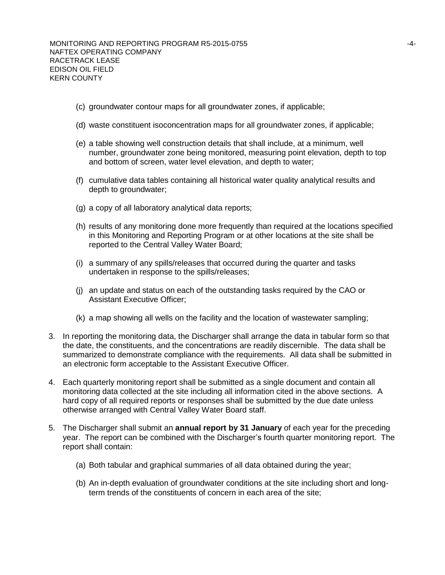- (c) groundwater contour maps for all groundwater zones, if applicable;
- (d) waste constituent isoconcentration maps for all groundwater zones, if applicable;
- (e) a table showing well construction details that shall include, at a minimum, well number, groundwater zone being monitored, measuring point elevation, depth to top and bottom of screen, water level elevation, and depth to water;
- (f) cumulative data tables containing all historical water quality analytical results and depth to groundwater;
- (g) a copy of all laboratory analytical data reports;
- (h) results of any monitoring done more frequently than required at the locations specified in this Monitoring and Reporting Program or at other locations at the site shall be reported to the Central Valley Water Board;
- (i) a summary of any spills/releases that occurred during the quarter and tasks undertaken in response to the spills/releases;
- (j) an update and status on each of the outstanding tasks required by the CAO or Assistant Executive Officer;
- (k) a map showing all wells on the facility and the location of wastewater sampling;
- 3. In reporting the monitoring data, the Discharger shall arrange the data in tabular form so that the date, the constituents, and the concentrations are readily discernible. The data shall be summarized to demonstrate compliance with the requirements. All data shall be submitted in an electronic form acceptable to the Assistant Executive Officer.
- 4. Each quarterly monitoring report shall be submitted as a single document and contain all monitoring data collected at the site including all information cited in the above sections. A hard copy of all required reports or responses shall be submitted by the due date unless otherwise arranged with Central Valley Water Board staff.
- 5. The Discharger shall submit an **annual report by 31 January** of each year for the preceding year. The report can be combined with the Discharger's fourth quarter monitoring report. The report shall contain:
	- (a) Both tabular and graphical summaries of all data obtained during the year;
	- (b) An in-depth evaluation of groundwater conditions at the site including short and longterm trends of the constituents of concern in each area of the site;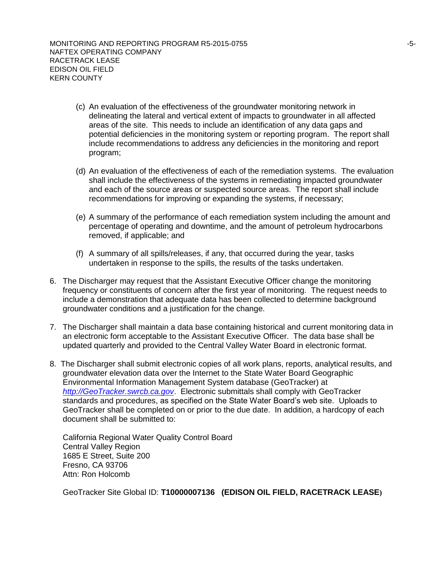- (c) An evaluation of the effectiveness of the groundwater monitoring network in delineating the lateral and vertical extent of impacts to groundwater in all affected areas of the site. This needs to include an identification of any data gaps and potential deficiencies in the monitoring system or reporting program. The report shall include recommendations to address any deficiencies in the monitoring and report program;
- (d) An evaluation of the effectiveness of each of the remediation systems. The evaluation shall include the effectiveness of the systems in remediating impacted groundwater and each of the source areas or suspected source areas. The report shall include recommendations for improving or expanding the systems, if necessary;
- (e) A summary of the performance of each remediation system including the amount and percentage of operating and downtime, and the amount of petroleum hydrocarbons removed, if applicable; and
- (f) A summary of all spills/releases, if any, that occurred during the year, tasks undertaken in response to the spills, the results of the tasks undertaken.
- 6. The Discharger may request that the Assistant Executive Officer change the monitoring frequency or constituents of concern after the first year of monitoring. The request needs to include a demonstration that adequate data has been collected to determine background groundwater conditions and a justification for the change.
- 7. The Discharger shall maintain a data base containing historical and current monitoring data in an electronic form acceptable to the Assistant Executive Officer. The data base shall be updated quarterly and provided to the Central Valley Water Board in electronic format.
- 8. The Discharger shall submit electronic copies of all work plans, reports, analytical results, and groundwater elevation data over the Internet to the State Water Board Geographic Environmental Information Management System database (GeoTracker) at *[http://GeoTracker.swrcb.ca.gov](http://geotracker.swrcb.ca.gov/)*. Electronic submittals shall comply with GeoTracker standards and procedures, as specified on the State Water Board's web site. Uploads to GeoTracker shall be completed on or prior to the due date. In addition, a hardcopy of each document shall be submitted to:

California Regional Water Quality Control Board Central Valley Region 1685 E Street, Suite 200 Fresno, CA 93706 Attn: Ron Holcomb

GeoTracker Site Global ID: **T10000007136 (EDISON OIL FIELD, RACETRACK LEASE)**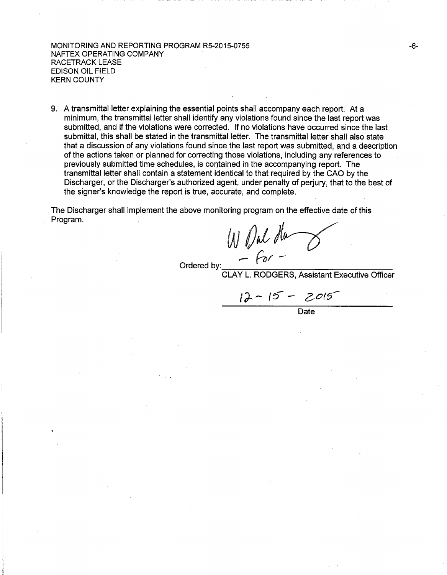#### MONITORING AND REPORTING PROGRAM R5-2015-0755 NAFTEX OPERATING COMPANY RACETRACK LEASE EDISON OIL FIELD KERN COUNTY

9. A transmittal letter explaining the essential points shall accompany each report. At a minimum, the transmittal letter shall identify any violations found since the last report was submitted, and if the violations were corrected. If no violations have occurred since the last submittal, this shall be stated in the transmittal letter. The transmittal letter shall also state that a discussion of any violations found since the last report was submitted, and a description of the actions taken or planned for correcting those violations, including any references to previously submitted time schedules, is contained in the accompanying report. The transmittal letter shall contain a statement identical to that required by the CAO by the Discharger, or the Discharger's authorized agent, under penalty of perjury, that to the best of the signer's knowledge the report is true, accurate, and complete.

The Discharger shall implement the above monitoring program on the effective date of this Program.

WO~fi~ \_. *(or* - ·

Ordered by:<br>CLAY L. RODGERS, Assistant Executive Officer

 $12 - 15 - 2015$ 

Date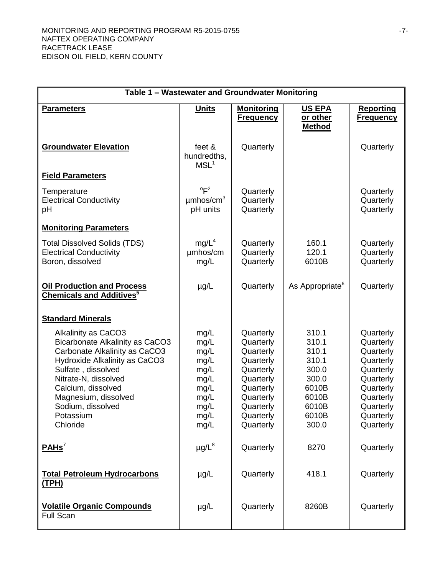| Table 1 - Wastewater and Groundwater Monitoring                                                                                                                                                                                                                           |                                                                                      |                                                                                                                                             |                                                                                                 |                                                                                                                                             |
|---------------------------------------------------------------------------------------------------------------------------------------------------------------------------------------------------------------------------------------------------------------------------|--------------------------------------------------------------------------------------|---------------------------------------------------------------------------------------------------------------------------------------------|-------------------------------------------------------------------------------------------------|---------------------------------------------------------------------------------------------------------------------------------------------|
| <b>Parameters</b>                                                                                                                                                                                                                                                         | <b>Units</b>                                                                         | <b>Monitoring</b><br><b>Frequency</b>                                                                                                       | <b>US EPA</b><br>or other<br><b>Method</b>                                                      | <b>Reporting</b><br><b>Frequency</b>                                                                                                        |
| <b>Groundwater Elevation</b>                                                                                                                                                                                                                                              | feet &<br>hundredths,<br>MSL <sup>1</sup>                                            | Quarterly                                                                                                                                   |                                                                                                 | Quarterly                                                                                                                                   |
| <b>Field Parameters</b>                                                                                                                                                                                                                                                   |                                                                                      |                                                                                                                                             |                                                                                                 |                                                                                                                                             |
| Temperature<br><b>Electrical Conductivity</b><br>рH                                                                                                                                                                                                                       | $^{\circ}F^2$<br>$\mu$ mhos/cm <sup>3</sup><br>pH units                              | Quarterly<br>Quarterly<br>Quarterly                                                                                                         |                                                                                                 | Quarterly<br>Quarterly<br>Quarterly                                                                                                         |
| <b>Monitoring Parameters</b>                                                                                                                                                                                                                                              |                                                                                      |                                                                                                                                             |                                                                                                 |                                                                                                                                             |
| <b>Total Dissolved Solids (TDS)</b><br><b>Electrical Conductivity</b><br>Boron, dissolved                                                                                                                                                                                 | mg/L <sup>4</sup><br>umhos/cm<br>mg/L                                                | Quarterly<br>Quarterly<br>Quarterly                                                                                                         | 160.1<br>120.1<br>6010B                                                                         | Quarterly<br>Quarterly<br>Quarterly                                                                                                         |
| <b>Oil Production and Process</b><br><b>Chemicals and Additives</b>                                                                                                                                                                                                       | $\mu$ g/L                                                                            | Quarterly                                                                                                                                   | As Appropriate <sup>6</sup>                                                                     | Quarterly                                                                                                                                   |
| <b>Standard Minerals</b>                                                                                                                                                                                                                                                  |                                                                                      |                                                                                                                                             |                                                                                                 |                                                                                                                                             |
| Alkalinity as CaCO3<br><b>Bicarbonate Alkalinity as CaCO3</b><br>Carbonate Alkalinity as CaCO3<br>Hydroxide Alkalinity as CaCO3<br>Sulfate, dissolved<br>Nitrate-N, dissolved<br>Calcium, dissolved<br>Magnesium, dissolved<br>Sodium, dissolved<br>Potassium<br>Chloride | mg/L<br>mg/L<br>mg/L<br>mg/L<br>mg/L<br>mg/L<br>mg/L<br>mg/L<br>mg/L<br>mg/L<br>mg/L | Quarterly<br>Quarterly<br>Quarterly<br>Quarterly<br>Quarterly<br>Quarterly<br>Quarterly<br>Quarterly<br>Quarterly<br>Quarterly<br>Quarterly | 310.1<br>310.1<br>310.1<br>310.1<br>300.0<br>300.0<br>6010B<br>6010B<br>6010B<br>6010B<br>300.0 | Quarterly<br>Quarterly<br>Quarterly<br>Quarterly<br>Quarterly<br>Quarterly<br>Quarterly<br>Quarterly<br>Quarterly<br>Quarterly<br>Quarterly |
| PAHS <sup>7</sup>                                                                                                                                                                                                                                                         | $\mu$ g/L $^8$                                                                       | Quarterly                                                                                                                                   | 8270                                                                                            | Quarterly                                                                                                                                   |
| <b>Total Petroleum Hydrocarbons</b><br>(TPH)                                                                                                                                                                                                                              | $\mu$ g/L                                                                            | Quarterly                                                                                                                                   | 418.1                                                                                           | Quarterly                                                                                                                                   |
| <b>Volatile Organic Compounds</b><br><b>Full Scan</b>                                                                                                                                                                                                                     | $\mu$ g/L                                                                            | Quarterly                                                                                                                                   | 8260B                                                                                           | Quarterly                                                                                                                                   |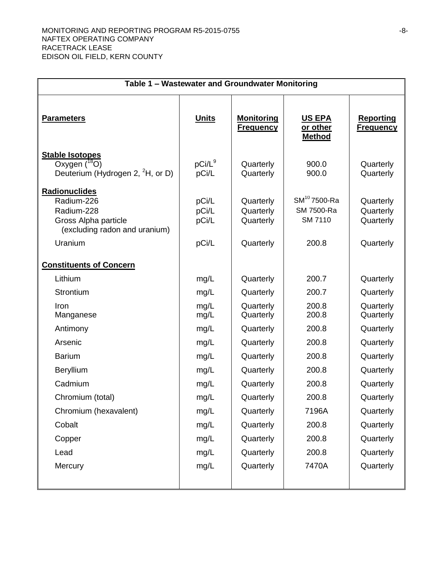| Table 1 - Wastewater and Groundwater Monitoring                                                                      |                                  |                                                  |                                                            |                                                  |
|----------------------------------------------------------------------------------------------------------------------|----------------------------------|--------------------------------------------------|------------------------------------------------------------|--------------------------------------------------|
| <b>Parameters</b>                                                                                                    | <b>Units</b>                     | <b>Monitoring</b><br><b>Frequency</b>            | <b>US EPA</b><br>or other<br><b>Method</b>                 | <b>Reporting</b><br><b>Frequency</b>             |
| <b>Stable Isotopes</b><br>Oxygen $(^{18}O)$<br>Deuterium (Hydrogen 2, <sup>2</sup> H, or D)                          | $pCi/L^9$<br>pCi/L               | Quarterly<br>Quarterly                           | 900.0<br>900.0                                             | Quarterly<br>Quarterly                           |
| <b>Radionuclides</b><br>Radium-226<br>Radium-228<br>Gross Alpha particle<br>(excluding radon and uranium)<br>Uranium | pCi/L<br>pCi/L<br>pCi/L<br>pCi/L | Quarterly<br>Quarterly<br>Quarterly<br>Quarterly | SM <sup>10</sup> 7500-Ra<br>SM 7500-Ra<br>SM 7110<br>200.8 | Quarterly<br>Quarterly<br>Quarterly<br>Quarterly |
| <b>Constituents of Concern</b>                                                                                       |                                  |                                                  |                                                            |                                                  |
| Lithium                                                                                                              | mg/L                             | Quarterly                                        | 200.7                                                      | Quarterly                                        |
| Strontium                                                                                                            | mg/L                             | Quarterly                                        | 200.7                                                      | Quarterly                                        |
| Iron<br>Manganese                                                                                                    | mg/L<br>mg/L                     | Quarterly<br>Quarterly                           | 200.8<br>200.8                                             | Quarterly<br>Quarterly                           |
| Antimony                                                                                                             | mg/L                             | Quarterly                                        | 200.8                                                      | Quarterly                                        |
| Arsenic                                                                                                              | mg/L                             | Quarterly                                        | 200.8                                                      | Quarterly                                        |
| <b>Barium</b>                                                                                                        | mg/L                             | Quarterly                                        | 200.8                                                      | Quarterly                                        |
| Beryllium                                                                                                            | mg/L                             | Quarterly                                        | 200.8                                                      | Quarterly                                        |
| Cadmium                                                                                                              | mg/L                             | Quarterly                                        | 200.8                                                      | Quarterly                                        |
| Chromium (total)                                                                                                     | mg/L                             | Quarterly                                        | 200.8                                                      | Quarterly                                        |
| Chromium (hexavalent)                                                                                                | mg/L                             | Quarterly                                        | 7196A                                                      | Quarterly                                        |
| Cobalt                                                                                                               | mg/L                             | Quarterly                                        | 200.8                                                      | Quarterly                                        |
| Copper                                                                                                               | mg/L                             | Quarterly                                        | 200.8                                                      | Quarterly                                        |
| Lead                                                                                                                 | mg/L                             | Quarterly                                        | 200.8                                                      | Quarterly                                        |
| Mercury                                                                                                              | mg/L                             | Quarterly                                        | 7470A                                                      | Quarterly                                        |